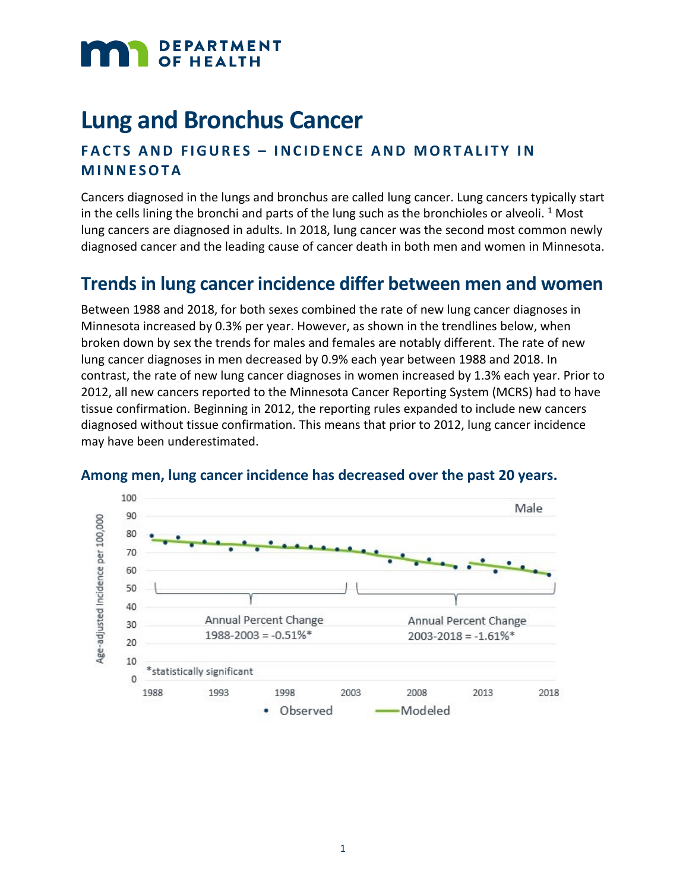### **DEPARTMENT** OF HEALTH

# **Lung and Bronchus Cancer**

### **FACTS AND FIGURES – INCIDENCE AND MORTALITY IN MINNESOTA**

Cancers diagnosed in the lungs and bronchus are called lung cancer. Lung cancers typically start in the cells lining the bronchi and parts of the lung such as the bronchioles or alveoli.  $1$  Most lung cancers are diagnosed in adults. In 2018, lung cancer was the second most common newly diagnosed cancer and the leading cause of cancer death in both men and women in Minnesota.

# **Trends in lung cancer incidence differ between men and women**

Between 1988 and 2018, for both sexes combined the rate of new lung cancer diagnoses in Minnesota increased by 0.3% per year. However, as shown in the trendlines below, when broken down by sex the trends for males and females are notably different. The rate of new lung cancer diagnoses in men decreased by 0.9% each year between 1988 and 2018. In contrast, the rate of new lung cancer diagnoses in women increased by 1.3% each year. Prior to 2012, all new cancers reported to the Minnesota Cancer Reporting System (MCRS) had to have tissue confirmation. Beginning in 2012, the reporting rules expanded to include new cancers diagnosed without tissue confirmation. This means that prior to 2012, lung cancer incidence may have been underestimated.



#### **Among men, lung cancer incidence has decreased over the past 20 years.**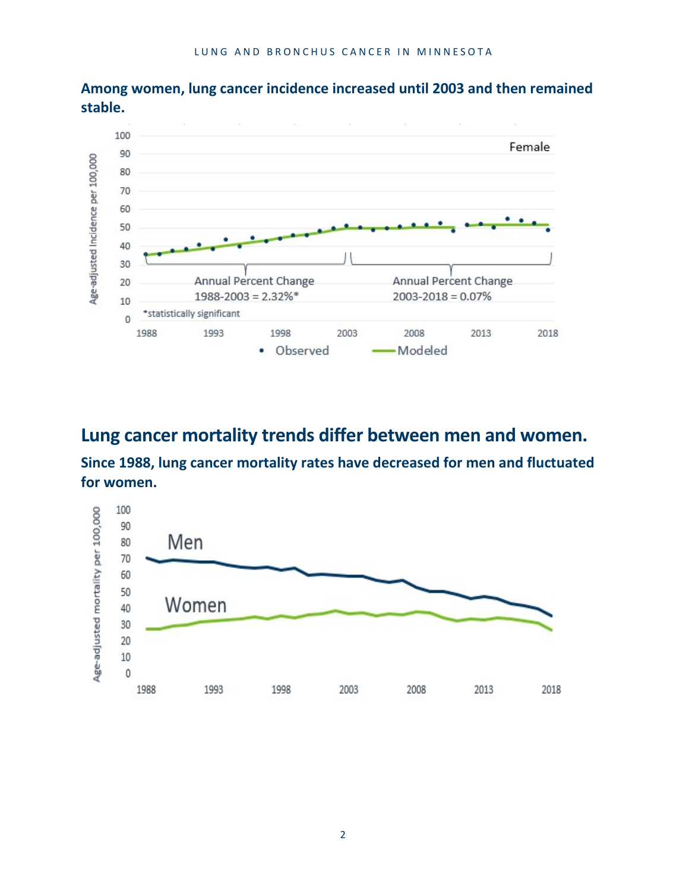

**Among women, lung cancer incidence increased until 2003 and then remained stable.** 

## **Lung cancer mortality trends differ between men and women.**

**Since 1988, lung cancer mortality rates have decreased for men and fluctuated for women.** 

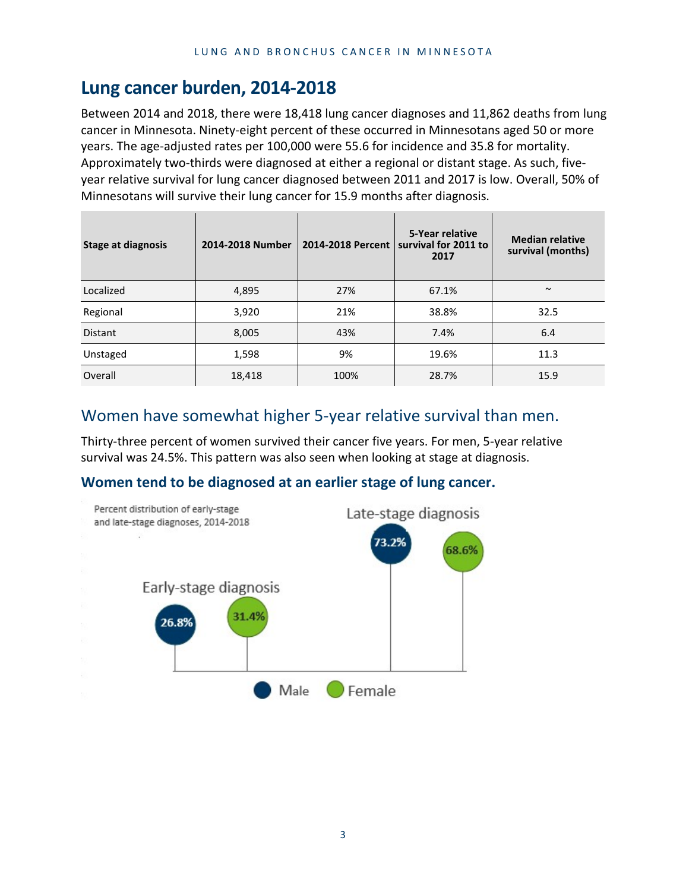# **Lung cancer burden, 2014-2018**

Between 2014 and 2018, there were 18,418 lung cancer diagnoses and 11,862 deaths from lung cancer in Minnesota. Ninety-eight percent of these occurred in Minnesotans aged 50 or more years. The age-adjusted rates per 100,000 were 55.6 for incidence and 35.8 for mortality. Approximately two-thirds were diagnosed at either a regional or distant stage. As such, fiveyear relative survival for lung cancer diagnosed between 2011 and 2017 is low. Overall, 50% of Minnesotans will survive their lung cancer for 15.9 months after diagnosis.

| <b>Stage at diagnosis</b> | 2014-2018 Number | 2014-2018 Percent | 5-Year relative<br>survival for 2011 to<br>2017 | <b>Median relative</b><br>survival (months) |
|---------------------------|------------------|-------------------|-------------------------------------------------|---------------------------------------------|
| Localized                 | 4,895            | 27%               | 67.1%                                           | $\sim$                                      |
| Regional                  | 3,920            | 21%               | 38.8%                                           | 32.5                                        |
| <b>Distant</b>            | 8,005            | 43%               | 7.4%                                            | 6.4                                         |
| Unstaged                  | 1,598            | 9%                | 19.6%                                           | 11.3                                        |
| Overall                   | 18,418           | 100%              | 28.7%                                           | 15.9                                        |

### Women have somewhat higher 5-year relative survival than men.

Thirty-three percent of women survived their cancer five years. For men, 5-year relative survival was 24.5%. This pattern was also seen when looking at stage at diagnosis.

#### **Women tend to be diagnosed at an earlier stage of lung cancer.**

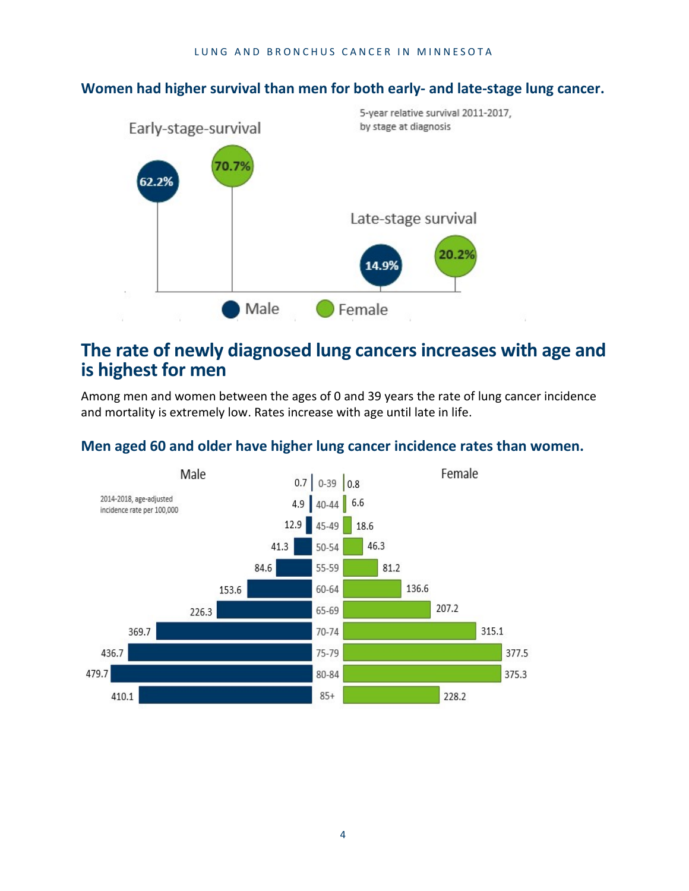

#### **Women had higher survival than men for both early- and late-stage lung cancer.**

### **The rate of newly diagnosed lung cancers increases with age and is highest for men**

Among men and women between the ages of 0 and 39 years the rate of lung cancer incidence and mortality is extremely low. Rates increase with age until late in life.

#### **Men aged 60 and older have higher lung cancer incidence rates than women.**

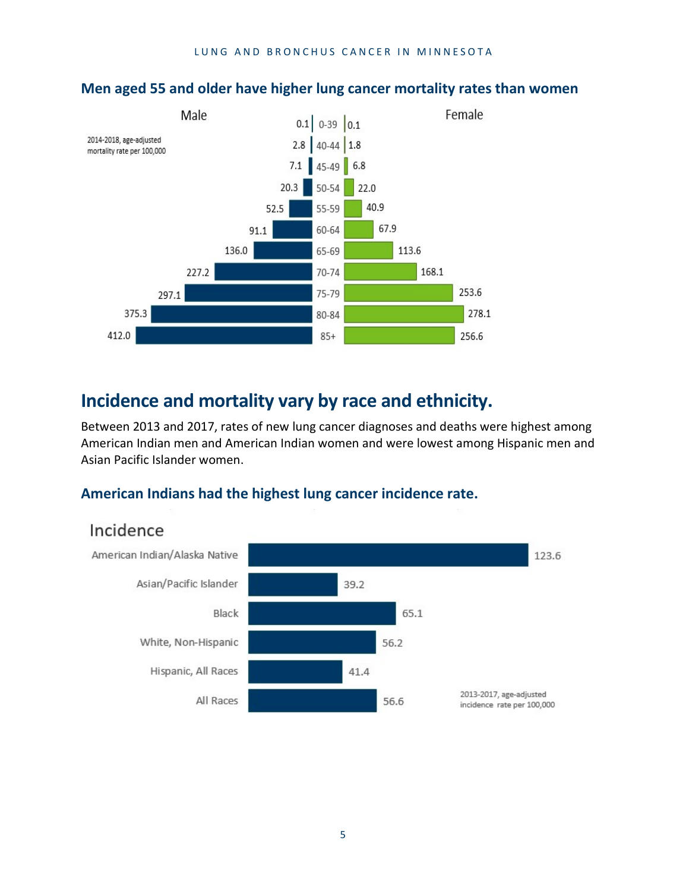

#### **Men aged 55 and older have higher lung cancer mortality rates than women**

## **Incidence and mortality vary by race and ethnicity.**

Between 2013 and 2017, rates of new lung cancer diagnoses and deaths were highest among American Indian men and American Indian women and were lowest among Hispanic men and Asian Pacific Islander women.

#### **American Indians had the highest lung cancer incidence rate.**



### Incidence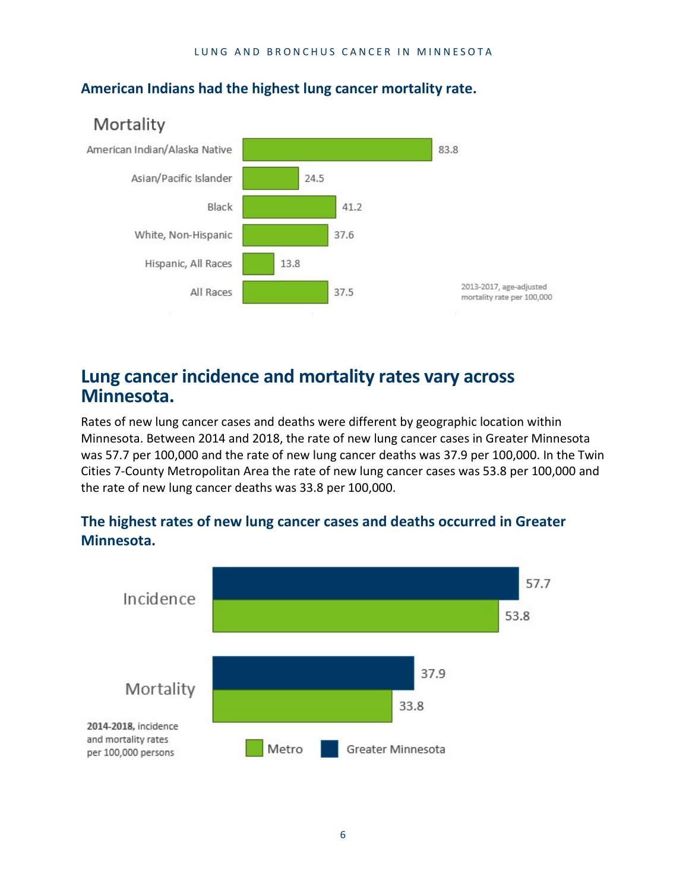#### **American Indians had the highest lung cancer mortality rate.**



### **Lung cancer incidence and mortality rates vary across Minnesota.**

Rates of new lung cancer cases and deaths were different by geographic location within Minnesota. Between 2014 and 2018, the rate of new lung cancer cases in Greater Minnesota was 57.7 per 100,000 and the rate of new lung cancer deaths was 37.9 per 100,000. In the Twin Cities 7-County Metropolitan Area the rate of new lung cancer cases was 53.8 per 100,000 and the rate of new lung cancer deaths was 33.8 per 100,000.



#### **The highest rates of new lung cancer cases and deaths occurred in Greater Minnesota.**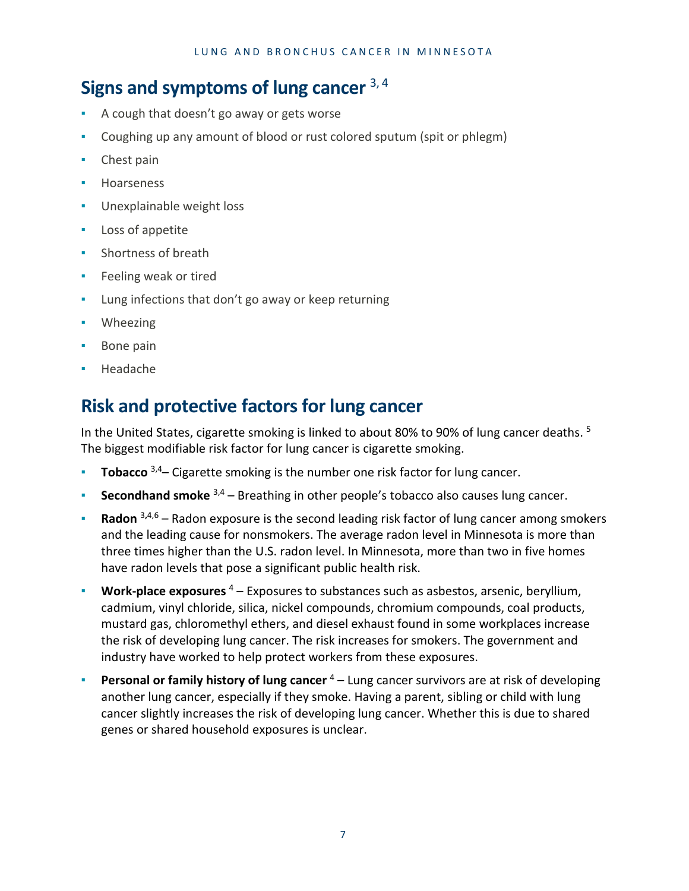# **Signs and symptoms of lung cancer** 3, 4

- A cough that doesn't go away or gets worse
- Coughing up any amount of blood or rust colored sputum (spit or phlegm)
- Chest pain
- **Hoarseness**
- Unexplainable weight loss
- Loss of appetite
- **Shortness of breath**
- **Feeling weak or tired**
- Lung infections that don't go away or keep returning
- Wheezing
- Bone pain
- **Headache**

# **Risk and protective factors for lung cancer**

In the United States, cigarette smoking is linked to about 80% to 90% of lung cancer deaths. 5 The biggest modifiable risk factor for lung cancer is cigarette smoking.

- **Tobacco** 3,4– Cigarette smoking is the number one risk factor for lung cancer.
- **Secondhand smoke** <sup>3,4</sup> Breathing in other people's tobacco also causes lung cancer.
- **Radon** <sup>3,4,6</sup> Radon exposure is the second leading risk factor of lung cancer among smokers and the leading cause for nonsmokers. The average radon level in Minnesota is more than three times higher than the U.S. radon level. In Minnesota, more than two in five homes have radon levels that pose a significant public health risk.
- Work-place exposures<sup>4</sup> Exposures to substances such as asbestos, arsenic, beryllium, cadmium, vinyl chloride, silica, nickel compounds, chromium compounds, coal products, mustard gas, chloromethyl ethers, and diesel exhaust found in some workplaces increase the risk of developing lung cancer. The risk increases for smokers. The government and industry have worked to help protect workers from these exposures.
- **Personal or family history of lung cancer** <sup>4</sup> Lung cancer survivors are at risk of developing another lung cancer, especially if they smoke. Having a parent, sibling or child with lung cancer slightly increases the risk of developing lung cancer. Whether this is due to shared genes or shared household exposures is unclear.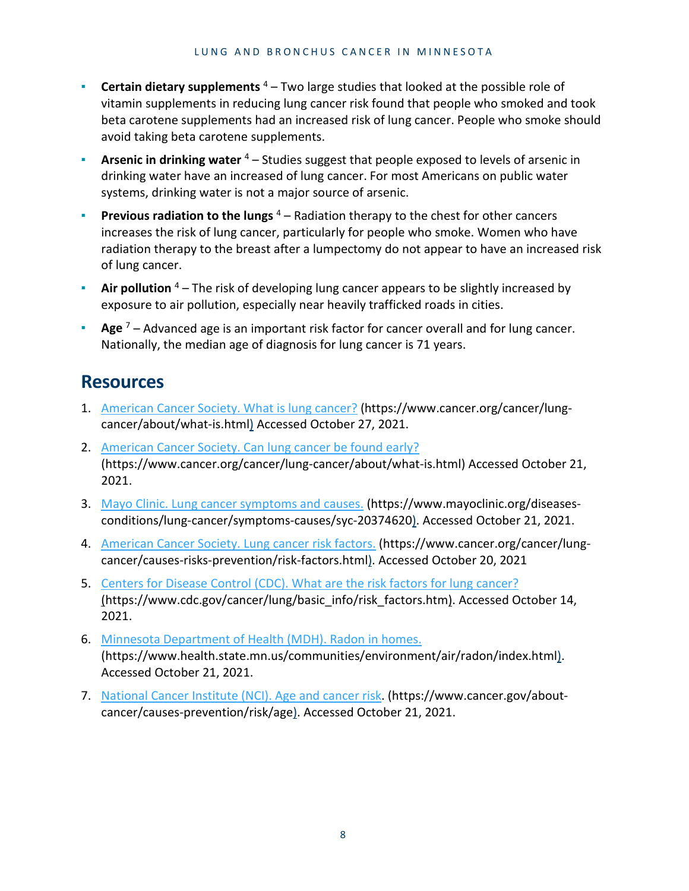- **Certain dietary supplements** 4 Two large studies that looked at the possible role of vitamin supplements in reducing lung cancer risk found that people who smoked and took beta carotene supplements had an increased risk of lung cancer. People who smoke should avoid taking beta carotene supplements.
- **Arsenic in drinking water** <sup>4</sup> Studies suggest that people exposed to levels of arsenic in drinking water have an increased of lung cancer. For most Americans on public water systems, drinking water is not a major source of arsenic.
- **Previous radiation to the lungs** <sup>4</sup> Radiation therapy to the chest for other cancers increases the risk of lung cancer, particularly for people who smoke. Women who have radiation therapy to the breast after a lumpectomy do not appear to have an increased risk of lung cancer.
- **Air pollution** <sup>4</sup> The risk of developing lung cancer appears to be slightly increased by exposure to air pollution, especially near heavily trafficked roads in cities.
- **Age** <sup>7</sup> Advanced age is an important risk factor for cancer overall and for lung cancer. Nationally, the median age of diagnosis for lung cancer is 71 years.

### **Resources**

- 1. [American Cancer Society. What is lung cancer?](https://www.cancer.org/cancer/lung-cancer/about/what-is.html) (https://www.cancer.org/cancer/lungcancer/about/what-is.html) Accessed October 27, 2021.
- 2. [American Cancer Society. Can lung cancer be found early?](https://www.cancer.org/cancer/lung-cancer/detection-diagnosis-staging/detection.html) (https://www.cancer.org/cancer/lung-cancer/about/what-is.html) Accessed October 21, 2021.
- 3. [Mayo Clinic. Lung cancer symptoms and causes. \(https://www.mayoclinic.org/diseases](https://www.mayoclinic.org/diseases-conditions/lung-cancer/symptoms-causes/syc-20374620)[conditions/lung-cancer/symptoms-causes/syc-20374620\)](https://www.mayoclinic.org/diseases-conditions/lung-cancer/symptoms-causes/syc-20374620). Accessed October 21, 2021.
- 4. [American Cancer Society. Lung cancer risk factors. \(https://www.cancer.org/cancer/lung](https://www.cancer.org/cancer/lung-cancer/causes-risks-prevention/risk-factors.html)[cancer/causes-risks-prevention/risk-factors.html\)](https://www.cancer.org/cancer/lung-cancer/causes-risks-prevention/risk-factors.html). Accessed October 20, 2021
- 5. [Centers for Disease Control \(CDC\). What are the risk factors for lung cancer?](https://www.cdc.gov/cancer/lung/basic_info/risk_factors.htm) (https://www.cdc.gov/cancer/lung/basic\_info/risk\_factors.htm). Accessed October 14, 2021.
- 6. [Minnesota Department of Health \(MDH\). Radon in homes.](https://www.health.state.mn.us/communities/environment/air/radon/index.html) [\(https://www.health.state.mn.us/communities/environment/air/radon/index.html\)](https://www.health.state.mn.us/communities/environment/air/radon/index.html). Accessed October 21, 2021.
- 7. [National Cancer Institute \(NCI\). Age and cancer risk.](https://www.cancer.org/cancer/lung-cancer/about/what-is.html) (https://www.cancer.gov/aboutcancer/causes-prevention/risk/age). Accessed October 21, 2021.